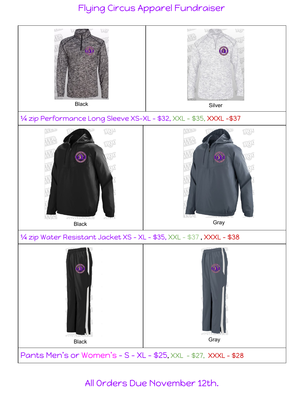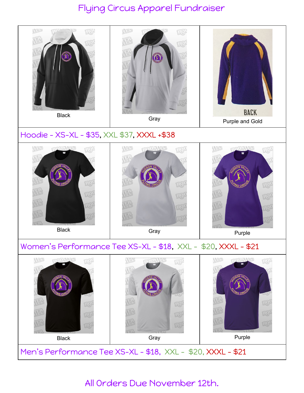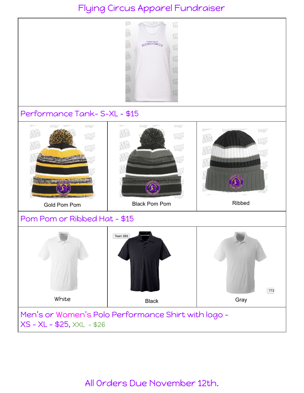